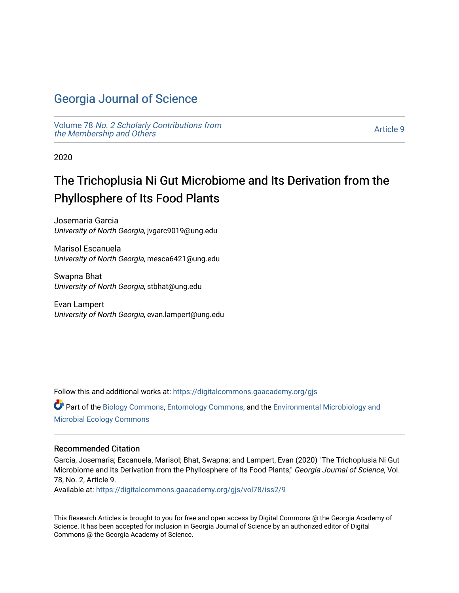# [Georgia Journal of Science](https://digitalcommons.gaacademy.org/gjs)

Volume 78 [No. 2 Scholarly Contributions from](https://digitalcommons.gaacademy.org/gjs/vol78) [the Membership and Others](https://digitalcommons.gaacademy.org/gjs/vol78) 

[Article 9](https://digitalcommons.gaacademy.org/gjs/vol78/iss2/9) 

2020

# The Trichoplusia Ni Gut Microbiome and Its Derivation from the Phyllosphere of Its Food Plants

Josemaria Garcia University of North Georgia, jvgarc9019@ung.edu

Marisol Escanuela University of North Georgia, mesca6421@ung.edu

Swapna Bhat University of North Georgia, stbhat@ung.edu

Evan Lampert University of North Georgia, evan.lampert@ung.edu

Follow this and additional works at: [https://digitalcommons.gaacademy.org/gjs](https://digitalcommons.gaacademy.org/gjs?utm_source=digitalcommons.gaacademy.org%2Fgjs%2Fvol78%2Fiss2%2F9&utm_medium=PDF&utm_campaign=PDFCoverPages) 

Part of the [Biology Commons,](http://network.bepress.com/hgg/discipline/41?utm_source=digitalcommons.gaacademy.org%2Fgjs%2Fvol78%2Fiss2%2F9&utm_medium=PDF&utm_campaign=PDFCoverPages) [Entomology Commons,](http://network.bepress.com/hgg/discipline/83?utm_source=digitalcommons.gaacademy.org%2Fgjs%2Fvol78%2Fiss2%2F9&utm_medium=PDF&utm_campaign=PDFCoverPages) and the [Environmental Microbiology and](http://network.bepress.com/hgg/discipline/50?utm_source=digitalcommons.gaacademy.org%2Fgjs%2Fvol78%2Fiss2%2F9&utm_medium=PDF&utm_campaign=PDFCoverPages)  [Microbial Ecology Commons](http://network.bepress.com/hgg/discipline/50?utm_source=digitalcommons.gaacademy.org%2Fgjs%2Fvol78%2Fiss2%2F9&utm_medium=PDF&utm_campaign=PDFCoverPages)

### Recommended Citation

Garcia, Josemaria; Escanuela, Marisol; Bhat, Swapna; and Lampert, Evan (2020) "The Trichoplusia Ni Gut Microbiome and Its Derivation from the Phyllosphere of Its Food Plants," Georgia Journal of Science, Vol. 78, No. 2, Article 9.

Available at: [https://digitalcommons.gaacademy.org/gjs/vol78/iss2/9](https://digitalcommons.gaacademy.org/gjs/vol78/iss2/9?utm_source=digitalcommons.gaacademy.org%2Fgjs%2Fvol78%2Fiss2%2F9&utm_medium=PDF&utm_campaign=PDFCoverPages)

This Research Articles is brought to you for free and open access by Digital Commons @ the Georgia Academy of Science. It has been accepted for inclusion in Georgia Journal of Science by an authorized editor of Digital Commons @ the Georgia Academy of Science.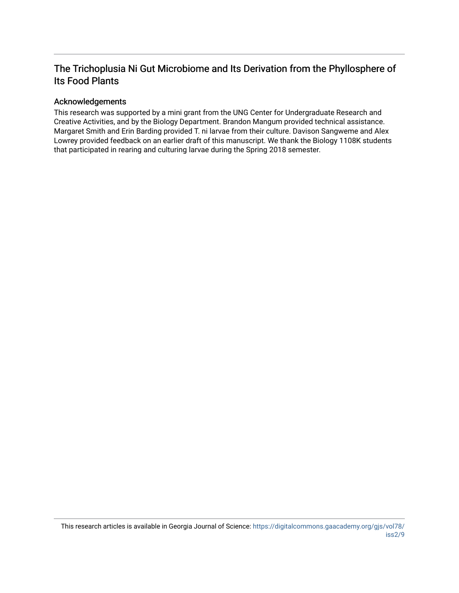## The Trichoplusia Ni Gut Microbiome and Its Derivation from the Phyllosphere of Its Food Plants

## Acknowledgements

This research was supported by a mini grant from the UNG Center for Undergraduate Research and Creative Activities, and by the Biology Department. Brandon Mangum provided technical assistance. Margaret Smith and Erin Barding provided T. ni larvae from their culture. Davison Sangweme and Alex Lowrey provided feedback on an earlier draft of this manuscript. We thank the Biology 1108K students that participated in rearing and culturing larvae during the Spring 2018 semester.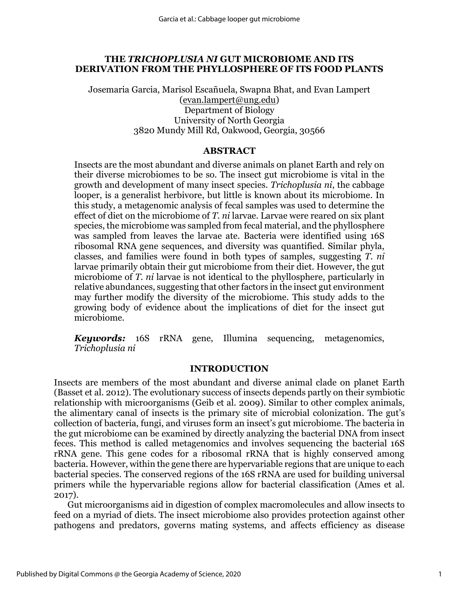## **THE** *TRICHOPLUSIA NI* **GUT MICROBIOME AND ITS DERIVATION FROM THE PHYLLOSPHERE OF ITS FOOD PLANTS**

Josemaria Garcia, Marisol Escañuela, Swapna Bhat, and Evan Lampert [\(evan.lampert@ung.edu\)](mailto:evan.lampert@ung.edu) Department of Biology University of North Georgia 3820 Mundy Mill Rd, Oakwood, Georgia, 30566

## **ABSTRACT**

Insects are the most abundant and diverse animals on planet Earth and rely on their diverse microbiomes to be so. The insect gut microbiome is vital in the growth and development of many insect species. *Trichoplusia ni*, the cabbage looper, is a generalist herbivore, but little is known about its microbiome. In this study, a metagenomic analysis of fecal samples was used to determine the effect of diet on the microbiome of *T. ni* larvae. Larvae were reared on six plant species, the microbiome was sampled from fecal material, and the phyllosphere was sampled from leaves the larvae ate. Bacteria were identified using 16S ribosomal RNA gene sequences, and diversity was quantified. Similar phyla, classes, and families were found in both types of samples, suggesting *T. ni* larvae primarily obtain their gut microbiome from their diet. However, the gut microbiome of *T. ni* larvae is not identical to the phyllosphere, particularly in relative abundances, suggesting that other factors in the insect gut environment may further modify the diversity of the microbiome. This study adds to the growing body of evidence about the implications of diet for the insect gut microbiome.

*Keywords:* 16S rRNA gene, Illumina sequencing, metagenomics, *Trichoplusia ni*

## **INTRODUCTION**

Insects are members of the most abundant and diverse animal clade on planet Earth (Basset et al. 2012). The evolutionary success of insects depends partly on their symbiotic relationship with microorganisms (Geib et al. 2009). Similar to other complex animals, the alimentary canal of insects is the primary site of microbial colonization. The gut's collection of bacteria, fungi, and viruses form an insect's gut microbiome. The bacteria in the gut microbiome can be examined by directly analyzing the bacterial DNA from insect feces. This method is called metagenomics and involves sequencing the bacterial 16S rRNA gene. This gene codes for a ribosomal rRNA that is highly conserved among bacteria. However, within the gene there are hypervariable regions that are unique to each bacterial species. The conserved regions of the 16S rRNA are used for building universal primers while the hypervariable regions allow for bacterial classification (Ames et al. 2017).

Gut microorganisms aid in digestion of complex macromolecules and allow insects to feed on a myriad of diets. The insect microbiome also provides protection against other pathogens and predators, governs mating systems, and affects efficiency as disease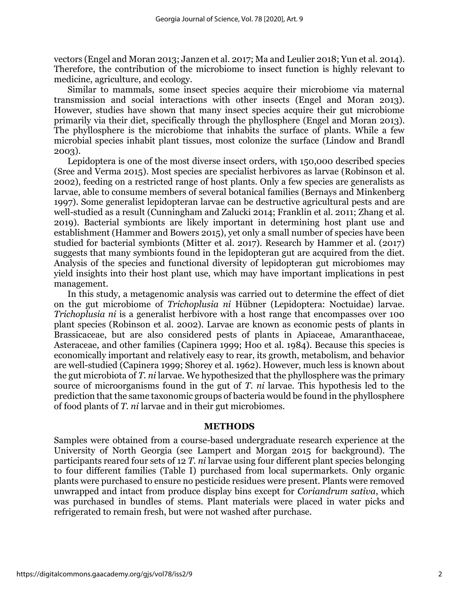vectors (Engel and Moran 2013; Janzen et al. 2017; Ma and Leulier 2018; Yun et al. 2014). Therefore, the contribution of the microbiome to insect function is highly relevant to medicine, agriculture, and ecology.

Similar to mammals, some insect species acquire their microbiome via maternal transmission and social interactions with other insects (Engel and Moran 2013). However, studies have shown that many insect species acquire their gut microbiome primarily via their diet, specifically through the phyllosphere (Engel and Moran 2013). The phyllosphere is the microbiome that inhabits the surface of plants. While a few microbial species inhabit plant tissues, most colonize the surface (Lindow and Brandl 2003).

Lepidoptera is one of the most diverse insect orders, with 150,000 described species (Sree and Verma 2015). Most species are specialist herbivores as larvae (Robinson et al. 2002), feeding on a restricted range of host plants. Only a few species are generalists as larvae, able to consume members of several botanical families (Bernays and Minkenberg 1997). Some generalist lepidopteran larvae can be destructive agricultural pests and are well-studied as a result (Cunningham and Zalucki 2014; Franklin et al. 2011; Zhang et al. 2019). Bacterial symbionts are likely important in determining host plant use and establishment (Hammer and Bowers 2015), yet only a small number of species have been studied for bacterial symbionts (Mitter et al. 2017). Research by Hammer et al. (2017) suggests that many symbionts found in the lepidopteran gut are acquired from the diet. Analysis of the species and functional diversity of lepidopteran gut microbiomes may yield insights into their host plant use, which may have important implications in pest management.

In this study, a metagenomic analysis was carried out to determine the effect of diet on the gut microbiome of *Trichoplusia ni* Hübner (Lepidoptera: Noctuidae) larvae. *Trichoplusia ni* is a generalist herbivore with a host range that encompasses over 100 plant species (Robinson et al. 2002). Larvae are known as economic pests of plants in Brassicaceae, but are also considered pests of plants in Apiaceae, Amaranthaceae, Asteraceae, and other families (Capinera 1999; Hoo et al. 1984). Because this species is economically important and relatively easy to rear, its growth, metabolism, and behavior are well-studied (Capinera 1999; Shorey et al. 1962). However, much less is known about the gut microbiota of *T. ni* larvae. We hypothesized that the phyllosphere was the primary source of microorganisms found in the gut of *T. ni* larvae. This hypothesis led to the prediction that the same taxonomic groups of bacteria would be found in the phyllosphere of food plants of *T. ni* larvae and in their gut microbiomes.

### **METHODS**

Samples were obtained from a course-based undergraduate research experience at the University of North Georgia (see Lampert and Morgan 2015 for background). The participants reared four sets of 12 *T. ni* larvae using four different plant species belonging to four different families (Table I) purchased from local supermarkets. Only organic plants were purchased to ensure no pesticide residues were present. Plants were removed unwrapped and intact from produce display bins except for *Coriandrum sativa*, which was purchased in bundles of stems. Plant materials were placed in water picks and refrigerated to remain fresh, but were not washed after purchase.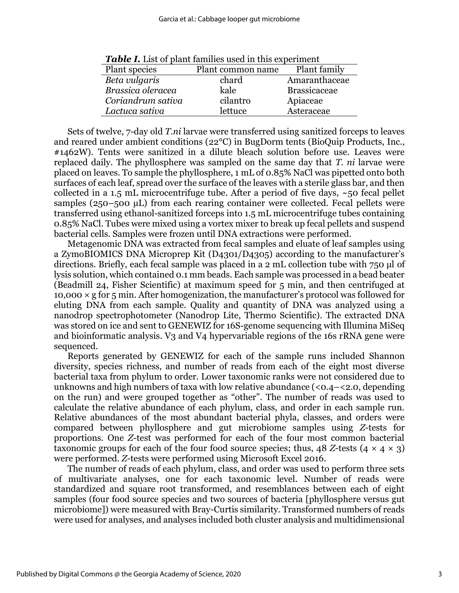| <b>Table 1.</b> List of plant families used in this experiment |                   |                     |  |  |
|----------------------------------------------------------------|-------------------|---------------------|--|--|
| Plant species                                                  | Plant common name | Plant family        |  |  |
| Beta vulgaris                                                  | chard             | Amaranthaceae       |  |  |
| Brassica oleracea                                              | kale              | <b>Brassicaceae</b> |  |  |
| Coriandrum sativa                                              | cilantro          | Apiaceae            |  |  |
| Lactuca sativa                                                 | lettuce           | Asteraceae          |  |  |

*Table I.* List of plant families used in this experiment

Sets of twelve, 7-day old *T.ni* larvae were transferred using sanitized forceps to leaves and reared under ambient conditions (22°C) in BugDorm tents (BioQuip Products, Inc., #1462W). Tents were sanitized in a dilute bleach solution before use. Leaves were replaced daily. The phyllosphere was sampled on the same day that *T. ni* larvae were placed on leaves. To sample the phyllosphere, 1 mL of 0.85% NaCl was pipetted onto both surfaces of each leaf, spread over the surface of the leaves with a sterile glass bar, and then collected in a 1.5 mL microcentrifuge tube. After a period of five days,  $\sim$ 50 fecal pellet samples (250–500 µL) from each rearing container were collected. Fecal pellets were transferred using ethanol-sanitized forceps into 1.5 mL microcentrifuge tubes containing 0.85% NaCl. Tubes were mixed using a vortex mixer to break up fecal pellets and suspend bacterial cells. Samples were frozen until DNA extractions were performed.

Metagenomic DNA was extracted from fecal samples and eluate of leaf samples using a ZymoBIOMICS DNA Microprep Kit (D4301/D4305) according to the manufacturer's directions. Briefly, each fecal sample was placed in a 2 mL collection tube with 750 μl of lysis solution, which contained 0.1 mm beads. Each sample was processed in a bead beater (Beadmill 24, Fisher Scientific) at maximum speed for 5 min, and then centrifuged at 10,000  $\times$  g for 5 min. After homogenization, the manufacturer's protocol was followed for eluting DNA from each sample. Quality and quantity of DNA was analyzed using a nanodrop spectrophotometer (Nanodrop Lite, Thermo Scientific). The extracted DNA was stored on ice and sent to GENEWIZ for 16S-genome sequencing with Illumina MiSeq and bioinformatic analysis. V3 and V4 hypervariable regions of the 16s rRNA gene were sequenced.

Reports generated by GENEWIZ for each of the sample runs included Shannon diversity, species richness, and number of reads from each of the eight most diverse bacterial taxa from phylum to order. Lower taxonomic ranks were not considered due to unknowns and high numbers of taxa with low relative abundance  $( $0.4 - < 2.0$ , depending$ on the run) and were grouped together as "other". The number of reads was used to calculate the relative abundance of each phylum, class, and order in each sample run. Relative abundances of the most abundant bacterial phyla, classes, and orders were compared between phyllosphere and gut microbiome samples using *Z-*tests for proportions. One *Z-*test was performed for each of the four most common bacterial taxonomic groups for each of the four food source species; thus,  $48$  *Z*-tests  $(4 \times 4 \times 3)$ were performed. *Z-*tests were performed using Microsoft Excel 2016.

The number of reads of each phylum, class, and order was used to perform three sets of multivariate analyses, one for each taxonomic level. Number of reads were standardized and square root transformed, and resemblances between each of eight samples (four food source species and two sources of bacteria [phyllosphere versus gut microbiome]) were measured with Bray-Curtis similarity. Transformed numbers of reads were used for analyses, and analyses included both cluster analysis and multidimensional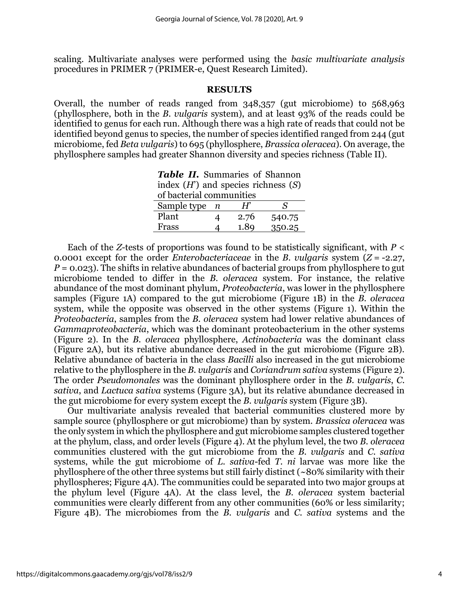scaling. Multivariate analyses were performed using the *basic multivariate analysis* procedures in PRIMER 7 (PRIMER-e, Quest Research Limited).

#### **RESULTS**

Overall, the number of reads ranged from 348,357 (gut microbiome) to 568,963 (phyllosphere, both in the *B. vulgaris* system), and at least 93% of the reads could be identified to genus for each run. Although there was a high rate of reads that could not be identified beyond genus to species, the number of species identified ranged from 244 (gut microbiome, fed *Beta vulgaris*) to 695 (phyllosphere, *Brassica oleracea*). On average, the phyllosphere samples had greater Shannon diversity and species richness (Table II).

*Table II.* Summaries of Shannon index (*H*') and species richness (*S*)

| of bacterial communities |  |       |        |  |
|--------------------------|--|-------|--------|--|
| Sample type $n$          |  | $H^r$ |        |  |
| Plant                    |  | 2.76  | 540.75 |  |
| Frass                    |  | 1.89  | 350.25 |  |

Each of the *Z-*tests of proportions was found to be statistically significant, with *P* < 0.0001 except for the order *Enterobacteriaceae* in the *B. vulgaris* system (*Z* = -2.27, *P* = 0.023). The shifts in relative abundances of bacterial groups from phyllosphere to gut microbiome tended to differ in the *B. oleracea* system. For instance, the relative abundance of the most dominant phylum, *Proteobacteria*, was lower in the phyllosphere samples (Figure 1A) compared to the gut microbiome (Figure 1B) in the *B. oleracea*  system, while the opposite was observed in the other systems (Figure 1). Within the *Proteobacteria*, samples from the *B. oleracea* system had lower relative abundances of *Gammaproteobacteria*, which was the dominant proteobacterium in the other systems (Figure 2). In the *B. oleracea* phyllosphere, *Actinobacteria* was the dominant class (Figure 2A), but its relative abundance decreased in the gut microbiome (Figure 2B). Relative abundance of bacteria in the class *Bacilli* also increased in the gut microbiome relative to the phyllosphere in the *B. vulgaris* and *Coriandrum sativa* systems (Figure 2). The order *Pseudomonales* was the dominant phyllosphere order in the *B. vulgaris*, *C. sativa*, and *Lactuca sativa* systems (Figure 3A), but its relative abundance decreased in the gut microbiome for every system except the *B. vulgaris* system (Figure 3B).

Our multivariate analysis revealed that bacterial communities clustered more by sample source (phyllosphere or gut microbiome) than by system. *Brassica oleracea* was the only system in which the phyllosphere and gut microbiome samples clustered together at the phylum, class, and order levels (Figure 4). At the phylum level, the two *B. oleracea*  communities clustered with the gut microbiome from the *B. vulgaris* and *C. sativa* systems, while the gut microbiome of *L. sativa*-fed *T. ni* larvae was more like the phyllosphere of the other three systems but still fairly distinct (~80% similarity with their phyllospheres; Figure 4A). The communities could be separated into two major groups at the phylum level (Figure 4A). At the class level, the *B. oleracea* system bacterial communities were clearly different from any other communities (60% or less similarity; Figure 4B). The microbiomes from the *B. vulgaris* and *C. sativa* systems and the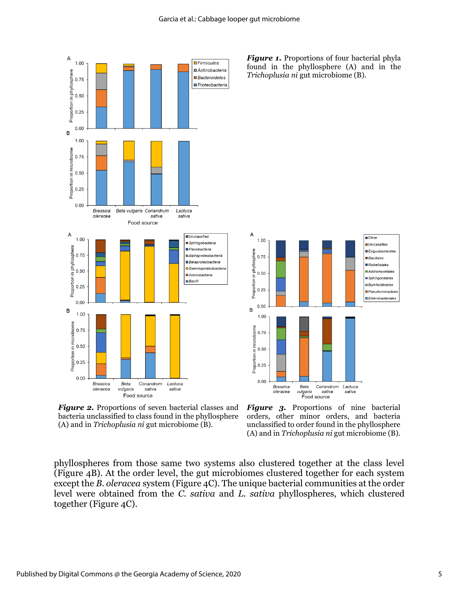

*Figure 1.* Proportions of four bacterial phyla found in the phyllosphere (A) and in the *Trichoplusia ni* gut microbiome (B).



*Figure 2.* Proportions of seven bacterial classes and bacteria unclassified to class found in the phyllosphere (A) and in *Trichoplusia ni* gut microbiome (B).

Figure 3. Proportions of nine bacterial orders, other minor orders, and bacteria unclassified to order found in the phyllosphere (A) and in *Trichoplusia ni* gut microbiome (B).

phyllospheres from those same two systems also clustered together at the class level (Figure 4B). At the order level, the gut microbiomes clustered together for each system except the *B. oleracea* system (Figure 4C). The unique bacterial communities at the order level were obtained from the *C. sativa* and *L. sativa* phyllospheres, which clustered together (Figure 4C).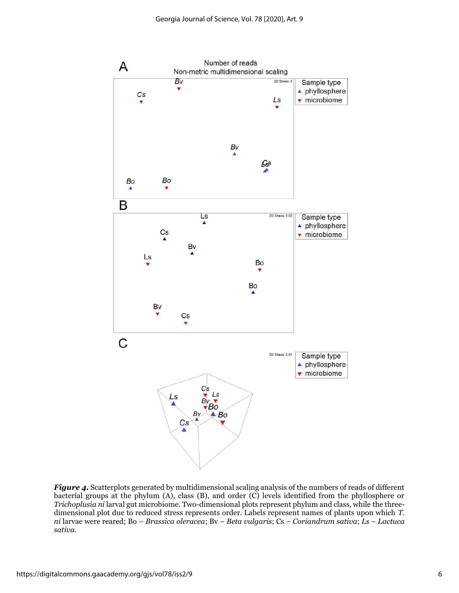

*Figure 4.* Scatterplots generated by multidimensional scaling analysis of the numbers of reads of different bacterial groups at the phylum (A), class (B), and order (C) levels identified from the phyllosphere or *Trichoplusia ni* larval gut microbiome. Two-dimensional plots represent phylum and class, while the threedimensional plot due to reduced stress represents order. Labels represent names of plants upon which *T. ni* larvae were reared; Bo – *Brassica oleracea*; Bv – *Beta vulgaris*; Cs – *Coriandrum sativa*; *Ls* – *Lactuca sativa*.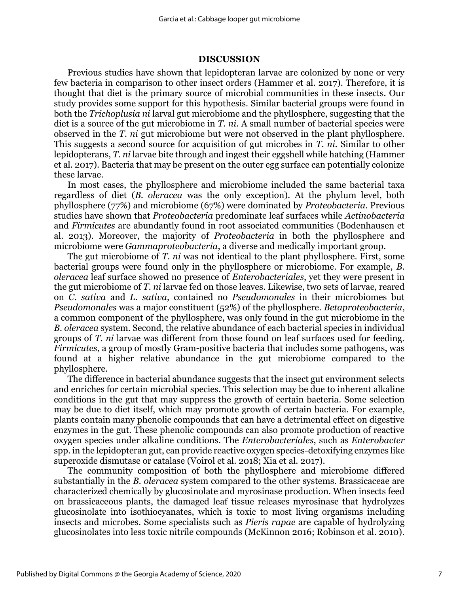## **DISCUSSION**

Previous studies have shown that lepidopteran larvae are colonized by none or very few bacteria in comparison to other insect orders (Hammer et al. 2017). Therefore, it is thought that diet is the primary source of microbial communities in these insects. Our study provides some support for this hypothesis. Similar bacterial groups were found in both the *Trichoplusia ni* larval gut microbiome and the phyllosphere, suggesting that the diet is a source of the gut microbiome in *T. ni*. A small number of bacterial species were observed in the *T. ni* gut microbiome but were not observed in the plant phyllosphere. This suggests a second source for acquisition of gut microbes in *T. ni.* Similar to other lepidopterans, *T. ni* larvae bite through and ingest their eggshell while hatching (Hammer et al. 2017). Bacteria that may be present on the outer egg surface can potentially colonize these larvae.

In most cases, the phyllosphere and microbiome included the same bacterial taxa regardless of diet (*B. oleracea* was the only exception). At the phylum level, both phyllosphere (77%) and microbiome (67%) were dominated by *Proteobacteria*. Previous studies have shown that *Proteobacteria* predominate leaf surfaces while *Actinobacteria* and *Firmicutes* are abundantly found in root associated communities (Bodenhausen et al. 2013). Moreover, the majority of *Proteobacteria* in both the phyllosphere and microbiome were *Gammaproteobacteria*, a diverse and medically important group.

The gut microbiome of *T. ni* was not identical to the plant phyllosphere. First, some bacterial groups were found only in the phyllosphere or microbiome. For example, *B. oleracea* leaf surface showed no presence of *Enterobacteriales*, yet they were present in the gut microbiome of *T. ni* larvae fed on those leaves. Likewise, two sets of larvae, reared on *C. sativa* and *L. sativa*, contained no *Pseudomonales* in their microbiomes but *Pseudomonales* was a major constituent (52%) of the phyllosphere. *Betaproteobacteria*, a common component of the phyllosphere, was only found in the gut microbiome in the *B. oleracea* system. Second, the relative abundance of each bacterial species in individual groups of *T. ni* larvae was different from those found on leaf surfaces used for feeding. *Firmicutes*, a group of mostly Gram-positive bacteria that includes some pathogens, was found at a higher relative abundance in the gut microbiome compared to the phyllosphere.

The difference in bacterial abundance suggests that the insect gut environment selects and enriches for certain microbial species. This selection may be due to inherent alkaline conditions in the gut that may suppress the growth of certain bacteria. Some selection may be due to diet itself, which may promote growth of certain bacteria. For example, plants contain many phenolic compounds that can have a detrimental effect on digestive enzymes in the gut. These phenolic compounds can also promote production of reactive oxygen species under alkaline conditions. The *Enterobacteriales*, such as *Enterobacter* spp. in the lepidopteran gut, can provide reactive oxygen species-detoxifying enzymes like superoxide dismutase or catalase (Voirol et al. 2018; Xia et al. 2017).

The community composition of both the phyllosphere and microbiome differed substantially in the *B. oleracea* system compared to the other systems. Brassicaceae are characterized chemically by glucosinolate and myrosinase production. When insects feed on brassicaceous plants, the damaged leaf tissue releases myrosinase that hydrolyzes glucosinolate into isothiocyanates, which is toxic to most living organisms including insects and microbes. Some specialists such as *Pieris rapae* are capable of hydrolyzing glucosinolates into less toxic nitrile compounds (McKinnon 2016; Robinson et al. 2010).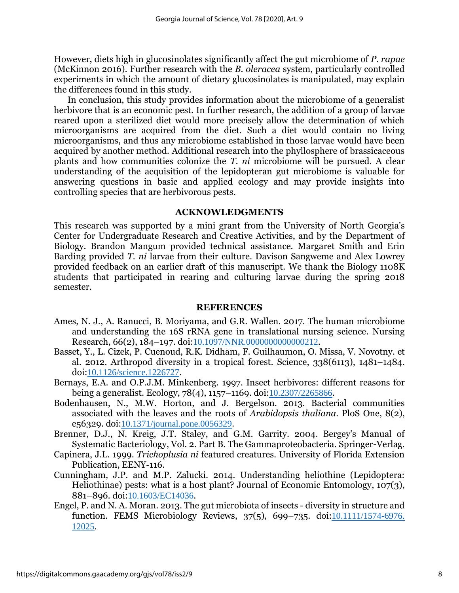However, diets high in glucosinolates significantly affect the gut microbiome of *P. rapae* (McKinnon 2016). Further research with the *B. oleracea* system, particularly controlled experiments in which the amount of dietary glucosinolates is manipulated, may explain the differences found in this study.

In conclusion, this study provides information about the microbiome of a generalist herbivore that is an economic pest. In further research, the addition of a group of larvae reared upon a sterilized diet would more precisely allow the determination of which microorganisms are acquired from the diet. Such a diet would contain no living microorganisms, and thus any microbiome established in those larvae would have been acquired by another method. Additional research into the phyllosphere of brassicaceous plants and how communities colonize the *T. ni* microbiome will be pursued. A clear understanding of the acquisition of the lepidopteran gut microbiome is valuable for answering questions in basic and applied ecology and may provide insights into controlling species that are herbivorous pests.

## **ACKNOWLEDGMENTS**

This research was supported by a mini grant from the University of North Georgia's Center for Undergraduate Research and Creative Activities, and by the Department of Biology. Brandon Mangum provided technical assistance. Margaret Smith and Erin Barding provided *T. ni* larvae from their culture. Davison Sangweme and Alex Lowrey provided feedback on an earlier draft of this manuscript. We thank the Biology 1108K students that participated in rearing and culturing larvae during the spring 2018 semester.

### **REFERENCES**

- Ames, N. J., A. Ranucci, B. Moriyama, and G.R. Wallen. 2017. The human microbiome and understanding the 16S rRNA gene in translational nursing science. Nursing Research, 66(2), 184–197. doi:[10.1097/NNR.0000000000000212](https://doi.org/10.1097/NNR.0000000000000212).
- Basset, Y., L. Cizek, P. Cuenoud, R.K. Didham, F. Guilhaumon, O. Missa, V. Novotny. et al. 2012. Arthropod diversity in a tropical forest. Science, 338(6113), 1481–1484. doi:[10.1126/science.1226727](https://doi.org/10.1126/science.1226727).
- Bernays, E.A. and O.P.J.M. Minkenberg. 1997. Insect herbivores: different reasons for being a generalist. Ecology, 78(4), 1157–1169. doi:[10.2307/2265866](https://doi.org/10.2307/2265866).
- Bodenhausen, N., M.W. Horton, and J. Bergelson. 2013. Bacterial communities associated with the leaves and the roots of *Arabidopsis thaliana*. PloS One, 8(2), e56329. doi:[10.1371/journal.pone.0056329](https://doi.org/10.1371/journal.pone.0056329).
- Brenner, D.J., N. Kreig, J.T. Staley, and G.M. Garrity. 2004. Bergey's Manual of Systematic Bacteriology, Vol. 2. Part B. The Gammaproteobacteria. Springer-Verlag.
- Capinera, J.L. 1999. *Trichoplusia ni* featured creatures. University of Florida Extension Publication, EENY-116.
- Cunningham, J.P. and M.P. Zalucki. 2014. Understanding heliothine (Lepidoptera: Heliothinae) pests: what is a host plant? Journal of Economic Entomology, 107(3), 881–896. doi:[10.1603/EC14036](https://doi.org/10.1603/EC14036).
- Engel, P. and N. A. Moran. 2013. The gut microbiota of insects diversity in structure and function. FEMS Microbiology Reviews, 37(5), 699–735. doi:[10.1111/1574-6976.](https://doi.org/10.1111/1574-6976.12025) [12025](https://doi.org/10.1111/1574-6976.12025).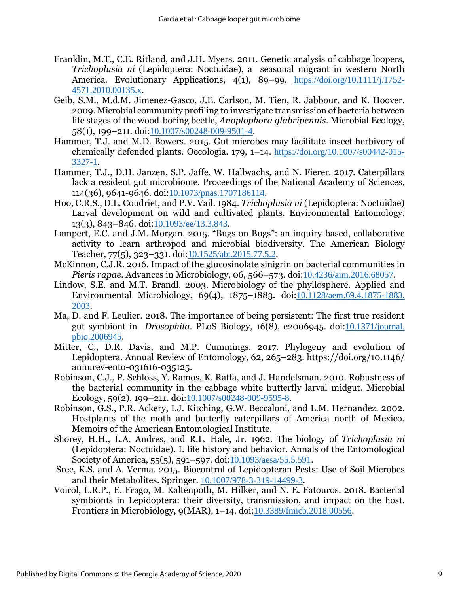- Franklin, M.T., C.E. Ritland, and J.H. Myers. 2011. Genetic analysis of cabbage loopers, *Trichoplusia ni* (Lepidoptera: Noctuidae), a seasonal migrant in western North America. Evolutionary Applications, 4(1), 89–99. [https://doi.org/10.1111/j.1752-](https://doi.org/10.1111/j.1752-4571.2010.00135.x) [4571.2010.00135.x](https://doi.org/10.1111/j.1752-4571.2010.00135.x).
- Geib, S.M., M.d.M. Jimenez-Gasco, J.E. Carlson, M. Tien, R. Jabbour, and K. Hoover. 2009. Microbial community profiling to investigate transmission of bacteria between life stages of the wood-boring beetle, *Anoplophora glabripennis*. Microbial Ecology, 58(1), 199–211. doi:[10.1007/s00248-009-9501-4](https://doi.org/10.1007/s00248-009-9501-4).
- Hammer, T.J. and M.D. Bowers. 2015. Gut microbes may facilitate insect herbivory of chemically defended plants. Oecologia. 179, 1–14. [https://doi.org/10.1007/s00442-015-](https://doi.org/10.1007/s00442-015-3327-1) [3327-1](https://doi.org/10.1007/s00442-015-3327-1).
- Hammer, T.J., D.H. Janzen, S.P. Jaffe, W. Hallwachs, and N. Fierer. 2017. Caterpillars lack a resident gut microbiome. Proceedings of the National Academy of Sciences, 114(36), 9641-9646. doi:[10.1073/pnas.1707186114](https://doi.org/10.1073/pnas.1707186114).
- Hoo, C.R.S., D.L. Coudriet, and P.V. Vail. 1984. *Trichoplusia ni* (Lepidoptera: Noctuidae) Larval development on wild and cultivated plants. Environmental Entomology, 13(3), 843–846. doi:[10.1093/ee/13.3.843](https://doi.org/10.1093/ee/13.3.843).
- Lampert, E.C. and J.M. Morgan. 2015. "Bugs on Bugs": an inquiry-based, collaborative activity to learn arthropod and microbial biodiversity. The American Biology Teacher, 77(5), 323–331. doi:[10.1525/abt.2015.77.5.2](https://doi.org/10.1525/abt.2015.77.5.2).
- McKinnon, C.J.R. 2016. Impact of the glucosinolate sinigrin on bacterial communities in *Pieris rapae*. Advances in Microbiology, 06, 566–573. doi:[10.4236/aim.2016.68057](https://doi.org/10.4236/aim.2016.68057).
- Lindow, S.E. and M.T. Brandl. 2003. Microbiology of the phyllosphere. Applied and Environmental Microbiology, 69(4), 1875–1883. doi:[10.1128/aem.69.4.1875-1883.](https://doi.org/10.1128/aem.69.4.1875-1883.2003) [2003](https://doi.org/10.1128/aem.69.4.1875-1883.2003).
- Ma, D. and F. Leulier. 2018. The importance of being persistent: The first true resident gut symbiont in *Drosophila*. PLoS Biology, 16(8), e2006945. doi:[10.1371/journal.](https://doi.org/10.1371/journal.pbio.2006945.) [pbio.2006945](https://doi.org/10.1371/journal.pbio.2006945.).
- Mitter, C., D.R. Davis, and M.P. Cummings. 2017. Phylogeny and evolution of Lepidoptera. Annual Review of Entomology, 62, 265–283. https://doi.org/10.1146/ annurev-ento-031616-035125.
- Robinson, C.J., P. Schloss, Y. Ramos, K. Raffa, and J. Handelsman. 2010. Robustness of the bacterial community in the cabbage white butterfly larval midgut. Microbial Ecology, 59(2), 199–211. doi:[10.1007/s00248-009-9595-8](https://doi.org/10.1007/s00248-009-9595-8).
- Robinson, G.S., P.R. Ackery, I.J. Kitching, G.W. Beccaloni, and L.M. Hernandez. 2002. Hostplants of the moth and butterfly caterpillars of America north of Mexico. Memoirs of the American Entomological Institute.
- Shorey, H.H., L.A. Andres, and R.L. Hale, Jr. 1962. The biology of *Trichoplusia ni* (Lepidoptera: Noctuidae). I. life history and behavior. Annals of the Entomological Society of America, 55(5), 591–597. doi:[10.1093/aesa/55.5.591](https://doi.org/10.1093/aesa/55.5.591).
- Sree, K.S. and A. Verma. 2015. Biocontrol of Lepidopteran Pests: Use of Soil Microbes and their Metabolites. Springer. [10.1007/978-3-319-14499-3](https://doi.org/doi:%2010.1007/978-3-319-14499-3).
- Voirol, L.R.P., E. Frago, M. Kaltenpoth, M. Hilker, and N. E. Fatouros. 2018. Bacterial symbionts in Lepidoptera: their diversity, transmission, and impact on the host. Frontiers in Microbiology, 9(MAR), 1–14. doi:[10.3389/fmicb.2018.00556](https://doi.org/10.3389/fmicb.2018.00556).